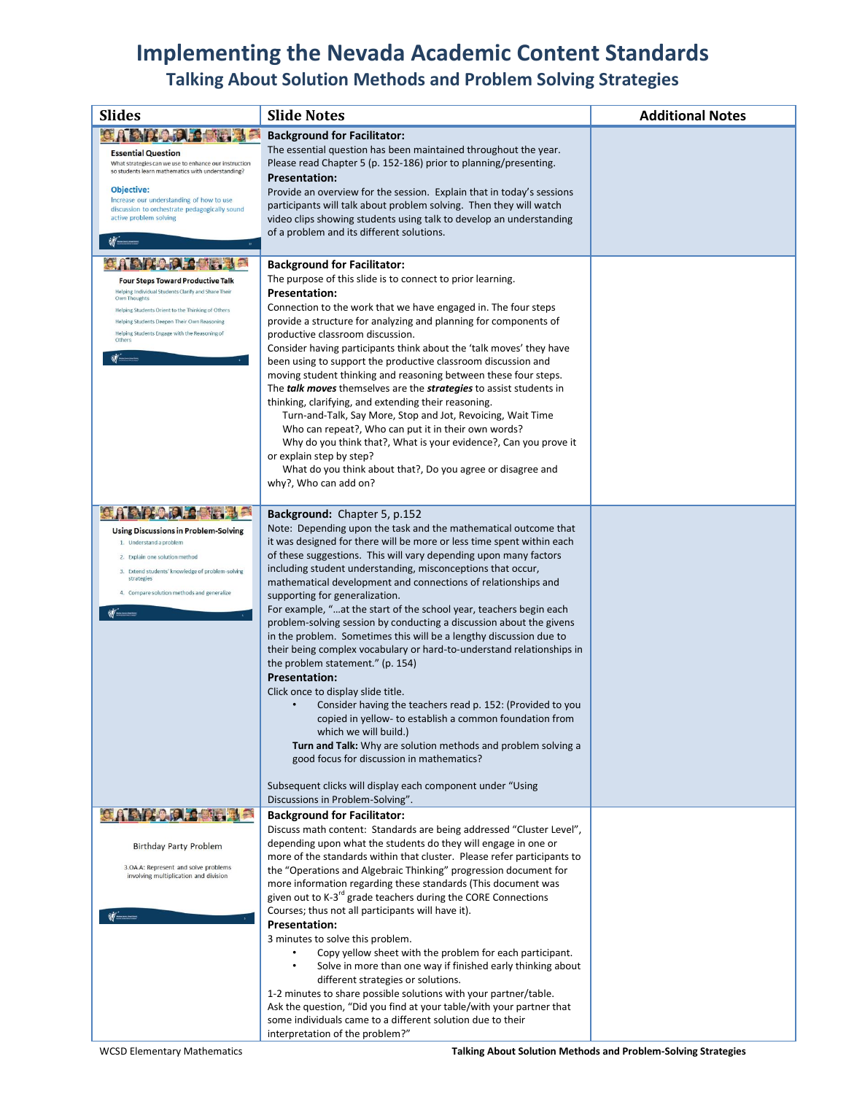# **Implementing the Nevada Academic Content Standards**

# **Talking About Solution Methods and Problem Solving Strategies**

| <b>Slides</b>                                                                                    | <b>Slide Notes</b>                                                                                                                          | <b>Additional Notes</b> |
|--------------------------------------------------------------------------------------------------|---------------------------------------------------------------------------------------------------------------------------------------------|-------------------------|
|                                                                                                  | <b>Background for Facilitator:</b>                                                                                                          |                         |
| <b>Essential Question</b><br>What strategies can we use to enhance our instruction               | The essential question has been maintained throughout the year.<br>Please read Chapter 5 (p. 152-186) prior to planning/presenting.         |                         |
| so students learn mathematics with understanding?                                                | <b>Presentation:</b>                                                                                                                        |                         |
| Objective:                                                                                       | Provide an overview for the session. Explain that in today's sessions                                                                       |                         |
| Increase our understanding of how to use<br>discussion to orchestrate pedagogically sound        | participants will talk about problem solving. Then they will watch                                                                          |                         |
| active problem solving                                                                           | video clips showing students using talk to develop an understanding<br>of a problem and its different solutions.                            |                         |
|                                                                                                  |                                                                                                                                             |                         |
| ÷                                                                                                | <b>Background for Facilitator:</b>                                                                                                          |                         |
| <b>Four Steps Toward Productive Talk</b>                                                         | The purpose of this slide is to connect to prior learning.                                                                                  |                         |
| Helping Individual Students Clarify and Share Their<br>Own Thoughts                              | <b>Presentation:</b>                                                                                                                        |                         |
| Helping Students Orient to the Thinking of Others<br>Helping Students Deepen Their Own Reasoning | Connection to the work that we have engaged in. The four steps<br>provide a structure for analyzing and planning for components of          |                         |
| Helping Students Engage with the Reasoning of<br>Others                                          | productive classroom discussion.                                                                                                            |                         |
|                                                                                                  | Consider having participants think about the 'talk moves' they have                                                                         |                         |
|                                                                                                  | been using to support the productive classroom discussion and<br>moving student thinking and reasoning between these four steps.            |                         |
|                                                                                                  | The talk moves themselves are the strategies to assist students in                                                                          |                         |
|                                                                                                  | thinking, clarifying, and extending their reasoning.                                                                                        |                         |
|                                                                                                  | Turn-and-Talk, Say More, Stop and Jot, Revoicing, Wait Time<br>Who can repeat?, Who can put it in their own words?                          |                         |
|                                                                                                  | Why do you think that?, What is your evidence?, Can you prove it                                                                            |                         |
|                                                                                                  | or explain step by step?                                                                                                                    |                         |
|                                                                                                  | What do you think about that?, Do you agree or disagree and<br>why?, Who can add on?                                                        |                         |
|                                                                                                  |                                                                                                                                             |                         |
| <b>ABIROLS</b>                                                                                   | Background: Chapter 5, p.152                                                                                                                |                         |
| <b>Using Discussions in Problem-Solving</b>                                                      | Note: Depending upon the task and the mathematical outcome that                                                                             |                         |
| 1. Understand a problem<br>2. Explain one solution method                                        | it was designed for there will be more or less time spent within each<br>of these suggestions. This will vary depending upon many factors   |                         |
| 3. Extend students' knowledge of problem-solving                                                 | including student understanding, misconceptions that occur,                                                                                 |                         |
| strategies<br>4. Compare solution methods and generalize                                         | mathematical development and connections of relationships and                                                                               |                         |
|                                                                                                  | supporting for generalization.<br>For example, "at the start of the school year, teachers begin each                                        |                         |
|                                                                                                  | problem-solving session by conducting a discussion about the givens                                                                         |                         |
|                                                                                                  | in the problem. Sometimes this will be a lengthy discussion due to                                                                          |                         |
|                                                                                                  | their being complex vocabulary or hard-to-understand relationships in<br>the problem statement." (p. 154)                                   |                         |
|                                                                                                  | <b>Presentation:</b>                                                                                                                        |                         |
|                                                                                                  | Click once to display slide title.                                                                                                          |                         |
|                                                                                                  | Consider having the teachers read p. 152: (Provided to you<br>copied in yellow- to establish a common foundation from                       |                         |
|                                                                                                  | which we will build.)                                                                                                                       |                         |
|                                                                                                  | Turn and Talk: Why are solution methods and problem solving a                                                                               |                         |
|                                                                                                  | good focus for discussion in mathematics?                                                                                                   |                         |
|                                                                                                  | Subsequent clicks will display each component under "Using                                                                                  |                         |
| <b>OAAAAAA</b>                                                                                   | Discussions in Problem-Solving".<br><b>Background for Facilitator:</b>                                                                      |                         |
|                                                                                                  | Discuss math content: Standards are being addressed "Cluster Level",                                                                        |                         |
| <b>Birthday Party Problem</b>                                                                    | depending upon what the students do they will engage in one or                                                                              |                         |
| 3.OA.A: Represent and solve problems                                                             | more of the standards within that cluster. Please refer participants to<br>the "Operations and Algebraic Thinking" progression document for |                         |
| involving multiplication and division                                                            | more information regarding these standards (This document was                                                                               |                         |
|                                                                                                  | given out to K-3 <sup>rd</sup> grade teachers during the CORE Connections                                                                   |                         |
|                                                                                                  | Courses; thus not all participants will have it).<br><b>Presentation:</b>                                                                   |                         |
|                                                                                                  | 3 minutes to solve this problem.                                                                                                            |                         |
|                                                                                                  | Copy yellow sheet with the problem for each participant.                                                                                    |                         |
|                                                                                                  | Solve in more than one way if finished early thinking about<br>different strategies or solutions.                                           |                         |
|                                                                                                  | 1-2 minutes to share possible solutions with your partner/table.                                                                            |                         |
|                                                                                                  | Ask the question, "Did you find at your table/with your partner that                                                                        |                         |
|                                                                                                  | some individuals came to a different solution due to their<br>interpretation of the problem?"                                               |                         |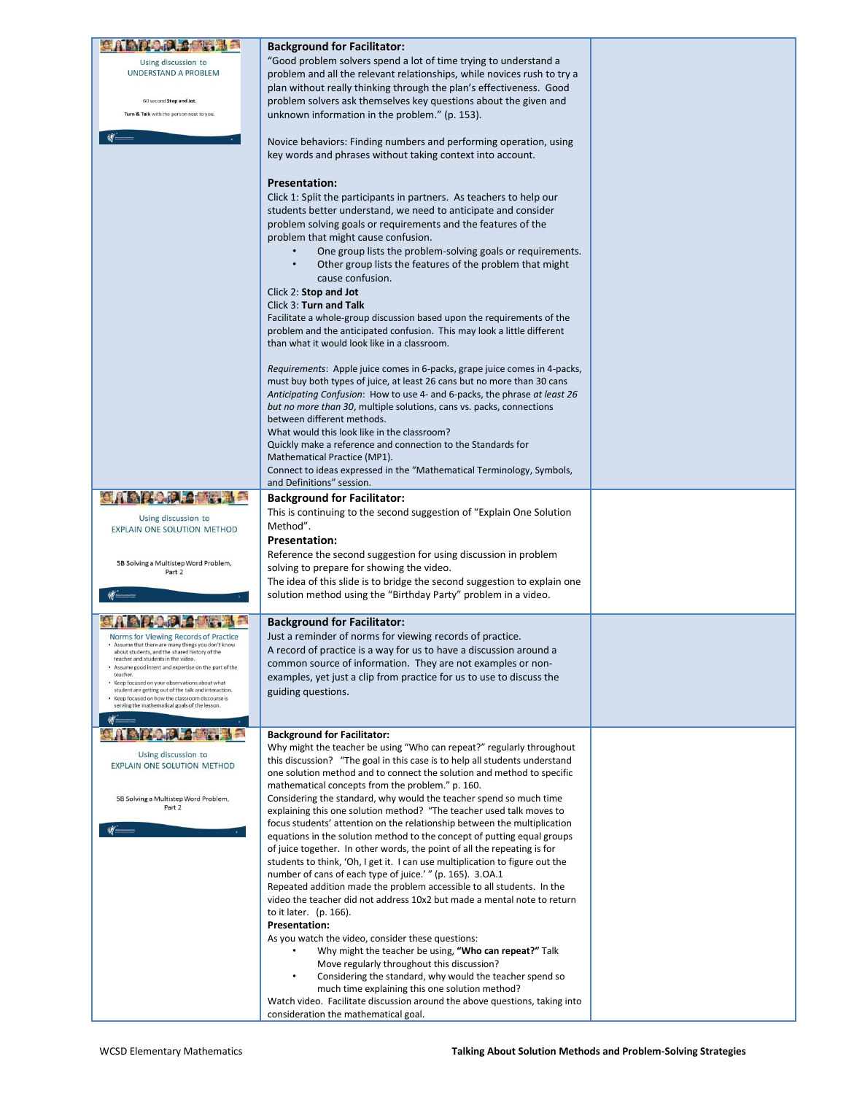|                                                                                                          | <b>Background for Facilitator:</b>                                                                                                                       |  |
|----------------------------------------------------------------------------------------------------------|----------------------------------------------------------------------------------------------------------------------------------------------------------|--|
| Using discussion to                                                                                      | "Good problem solvers spend a lot of time trying to understand a                                                                                         |  |
| <b>UNDERSTAND A PROBLEM</b>                                                                              | problem and all the relevant relationships, while novices rush to try a                                                                                  |  |
|                                                                                                          | plan without really thinking through the plan's effectiveness. Good                                                                                      |  |
| 60 second Stop and Jot.                                                                                  | problem solvers ask themselves key questions about the given and                                                                                         |  |
| Turn & Talk with the person next to you.                                                                 | unknown information in the problem." (p. 153).                                                                                                           |  |
|                                                                                                          | Novice behaviors: Finding numbers and performing operation, using                                                                                        |  |
|                                                                                                          | key words and phrases without taking context into account.                                                                                               |  |
|                                                                                                          |                                                                                                                                                          |  |
|                                                                                                          | <b>Presentation:</b>                                                                                                                                     |  |
|                                                                                                          | Click 1: Split the participants in partners. As teachers to help our                                                                                     |  |
|                                                                                                          | students better understand, we need to anticipate and consider                                                                                           |  |
|                                                                                                          | problem solving goals or requirements and the features of the                                                                                            |  |
|                                                                                                          | problem that might cause confusion.                                                                                                                      |  |
|                                                                                                          | One group lists the problem-solving goals or requirements.<br>Other group lists the features of the problem that might                                   |  |
|                                                                                                          | cause confusion.                                                                                                                                         |  |
|                                                                                                          | Click 2: Stop and Jot                                                                                                                                    |  |
|                                                                                                          | Click 3: Turn and Talk                                                                                                                                   |  |
|                                                                                                          | Facilitate a whole-group discussion based upon the requirements of the                                                                                   |  |
|                                                                                                          | problem and the anticipated confusion. This may look a little different<br>than what it would look like in a classroom.                                  |  |
|                                                                                                          |                                                                                                                                                          |  |
|                                                                                                          | Requirements: Apple juice comes in 6-packs, grape juice comes in 4-packs,                                                                                |  |
|                                                                                                          | must buy both types of juice, at least 26 cans but no more than 30 cans                                                                                  |  |
|                                                                                                          | Anticipating Confusion: How to use 4- and 6-packs, the phrase at least 26                                                                                |  |
|                                                                                                          | but no more than 30, multiple solutions, cans vs. packs, connections<br>between different methods.                                                       |  |
|                                                                                                          | What would this look like in the classroom?                                                                                                              |  |
|                                                                                                          | Quickly make a reference and connection to the Standards for                                                                                             |  |
|                                                                                                          | Mathematical Practice (MP1).                                                                                                                             |  |
|                                                                                                          | Connect to ideas expressed in the "Mathematical Terminology, Symbols,<br>and Definitions" session.                                                       |  |
| <b>ABILDRE</b>                                                                                           | <b>Background for Facilitator:</b>                                                                                                                       |  |
|                                                                                                          | This is continuing to the second suggestion of "Explain One Solution"                                                                                    |  |
| Using discussion to<br>EXPLAIN ONE SOLUTION METHOD                                                       | Method".                                                                                                                                                 |  |
|                                                                                                          | <b>Presentation:</b>                                                                                                                                     |  |
|                                                                                                          | Reference the second suggestion for using discussion in problem                                                                                          |  |
| 5B Solving a Multistep Word Problem,<br>Part 2                                                           | solving to prepare for showing the video.                                                                                                                |  |
|                                                                                                          | The idea of this slide is to bridge the second suggestion to explain one                                                                                 |  |
|                                                                                                          | solution method using the "Birthday Party" problem in a video.                                                                                           |  |
|                                                                                                          | <b>Background for Facilitator:</b>                                                                                                                       |  |
| Norms for Viewing Records of Practice                                                                    | Just a reminder of norms for viewing records of practice.                                                                                                |  |
| . Assume that there are many things you don't know<br>about students, and the shared history of the      | A record of practice is a way for us to have a discussion around a                                                                                       |  |
| teacher and students in the video<br>Assume good intent and expertise on the part of the                 | common source of information. They are not examples or non-                                                                                              |  |
| teacher.<br>• Keep focused on your observations about what                                               | examples, yet just a clip from practice for us to use to discuss the                                                                                     |  |
| student are getting out of the talk and interaction.<br>• Keep focused on how the classroom discourse is | guiding questions.                                                                                                                                       |  |
| serving the mathematical goals of the lesson.                                                            |                                                                                                                                                          |  |
|                                                                                                          | <b>Background for Facilitator:</b>                                                                                                                       |  |
|                                                                                                          | Why might the teacher be using "Who can repeat?" regularly throughout                                                                                    |  |
| Using discussion to<br>EXPLAIN ONE SOLUTION METHOD                                                       | this discussion? "The goal in this case is to help all students understand                                                                               |  |
|                                                                                                          | one solution method and to connect the solution and method to specific                                                                                   |  |
| 5B Solving a Multistep Word Problem,                                                                     | mathematical concepts from the problem." p. 160.<br>Considering the standard, why would the teacher spend so much time                                   |  |
| Part 2                                                                                                   | explaining this one solution method? "The teacher used talk moves to                                                                                     |  |
|                                                                                                          | focus students' attention on the relationship between the multiplication                                                                                 |  |
|                                                                                                          | equations in the solution method to the concept of putting equal groups                                                                                  |  |
|                                                                                                          | of juice together. In other words, the point of all the repeating is for<br>students to think, 'Oh, I get it. I can use multiplication to figure out the |  |
|                                                                                                          | number of cans of each type of juice.' " (p. 165). 3.0A.1                                                                                                |  |
|                                                                                                          | Repeated addition made the problem accessible to all students. In the                                                                                    |  |
|                                                                                                          | video the teacher did not address 10x2 but made a mental note to return                                                                                  |  |
|                                                                                                          | to it later. (p. 166).                                                                                                                                   |  |
|                                                                                                          | <b>Presentation:</b><br>As you watch the video, consider these questions:                                                                                |  |
|                                                                                                          | Why might the teacher be using, "Who can repeat?" Talk                                                                                                   |  |
|                                                                                                          | Move regularly throughout this discussion?                                                                                                               |  |
|                                                                                                          | Considering the standard, why would the teacher spend so                                                                                                 |  |
|                                                                                                          | much time explaining this one solution method?                                                                                                           |  |
|                                                                                                          | Watch video. Facilitate discussion around the above questions, taking into<br>consideration the mathematical goal.                                       |  |
|                                                                                                          |                                                                                                                                                          |  |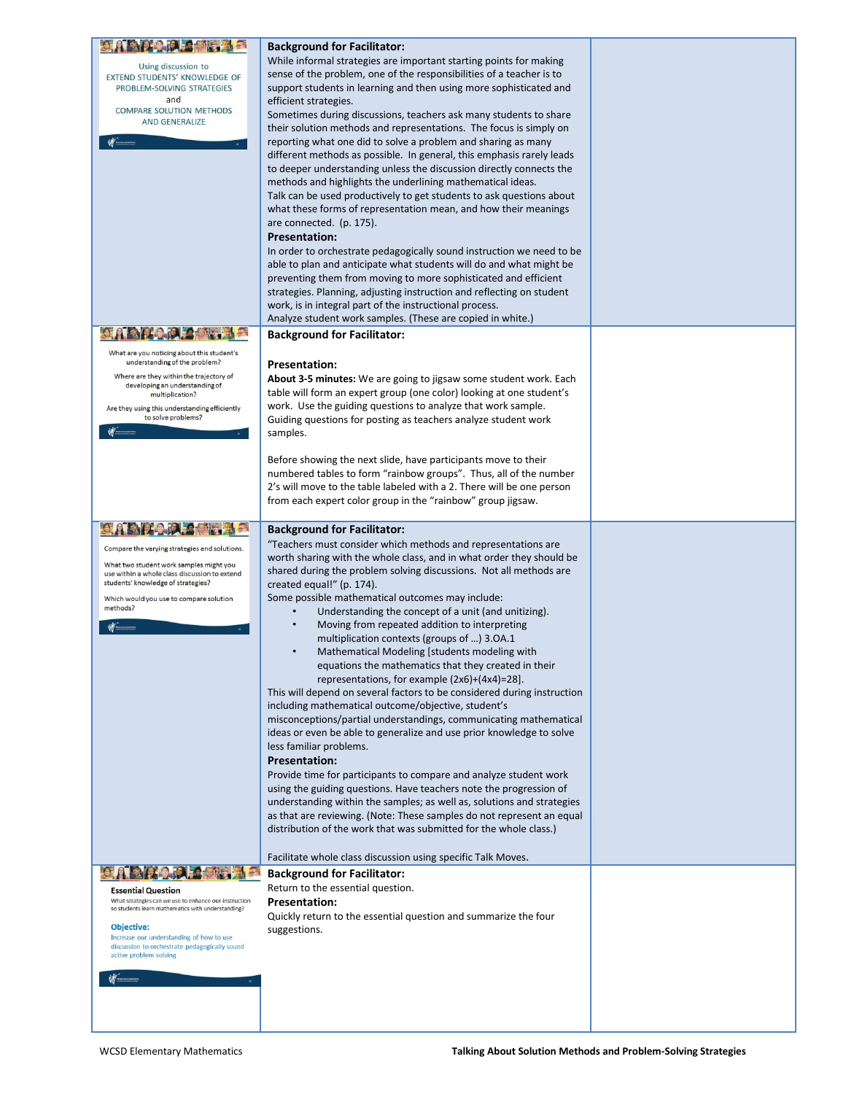|                                                                                                            | <b>Background for Facilitator:</b>                                                                                                           |  |
|------------------------------------------------------------------------------------------------------------|----------------------------------------------------------------------------------------------------------------------------------------------|--|
| Using discussion to<br>EXTEND STUDENTS' KNOWLEDGE OF                                                       | While informal strategies are important starting points for making<br>sense of the problem, one of the responsibilities of a teacher is to   |  |
| PROBLEM-SOLVING STRATEGIES<br>and                                                                          | support students in learning and then using more sophisticated and<br>efficient strategies.                                                  |  |
| COMPARE SOLUTION METHODS<br>AND GENERALIZE                                                                 | Sometimes during discussions, teachers ask many students to share                                                                            |  |
|                                                                                                            | their solution methods and representations. The focus is simply on<br>reporting what one did to solve a problem and sharing as many          |  |
|                                                                                                            | different methods as possible. In general, this emphasis rarely leads<br>to deeper understanding unless the discussion directly connects the |  |
|                                                                                                            | methods and highlights the underlining mathematical ideas.<br>Talk can be used productively to get students to ask questions about           |  |
|                                                                                                            | what these forms of representation mean, and how their meanings                                                                              |  |
|                                                                                                            | are connected. (p. 175).<br><b>Presentation:</b>                                                                                             |  |
|                                                                                                            | In order to orchestrate pedagogically sound instruction we need to be<br>able to plan and anticipate what students will do and what might be |  |
|                                                                                                            | preventing them from moving to more sophisticated and efficient                                                                              |  |
|                                                                                                            | strategies. Planning, adjusting instruction and reflecting on student<br>work, is in integral part of the instructional process.             |  |
|                                                                                                            | Analyze student work samples. (These are copied in white.)<br><b>Background for Facilitator:</b>                                             |  |
| What are you noticing about this student's                                                                 |                                                                                                                                              |  |
| understanding of the problem?<br>Where are they within the trajectory of                                   | <b>Presentation:</b><br><b>About 3-5 minutes:</b> We are going to jigsaw some student work. Each                                             |  |
| developing an understanding of<br>multiplication?                                                          | table will form an expert group (one color) looking at one student's                                                                         |  |
| Are they using this understanding efficiently<br>to solve problems?                                        | work. Use the guiding questions to analyze that work sample.<br>Guiding questions for posting as teachers analyze student work               |  |
|                                                                                                            | samples.                                                                                                                                     |  |
|                                                                                                            | Before showing the next slide, have participants move to their<br>numbered tables to form "rainbow groups". Thus, all of the number          |  |
|                                                                                                            | 2's will move to the table labeled with a 2. There will be one person                                                                        |  |
|                                                                                                            | from each expert color group in the "rainbow" group jigsaw.                                                                                  |  |
|                                                                                                            | <b>Background for Facilitator:</b><br>"Teachers must consider which methods and representations are                                          |  |
| Compare the varying strategies and solutions.<br>What two student work samples might you                   | worth sharing with the whole class, and in what order they should be                                                                         |  |
| use within a whole class discussion to extend<br>students' knowledge of strategies?                        | shared during the problem solving discussions. Not all methods are<br>created equal!" (p. 174).                                              |  |
| Which would you use to compare solution<br>methods?                                                        | Some possible mathematical outcomes may include:<br>Understanding the concept of a unit (and unitizing).                                     |  |
|                                                                                                            | Moving from repeated addition to interpreting<br>multiplication contexts (groups of ) 3.0A.1                                                 |  |
|                                                                                                            | Mathematical Modeling [students modeling with                                                                                                |  |
|                                                                                                            | equations the mathematics that they created in their<br>representations, for example $(2x6)+(4x4)=28$ ].                                     |  |
|                                                                                                            | This will depend on several factors to be considered during instruction<br>including mathematical outcome/objective, student's               |  |
|                                                                                                            | misconceptions/partial understandings, communicating mathematical                                                                            |  |
|                                                                                                            | ideas or even be able to generalize and use prior knowledge to solve<br>less familiar problems.                                              |  |
|                                                                                                            | <b>Presentation:</b><br>Provide time for participants to compare and analyze student work                                                    |  |
|                                                                                                            | using the guiding questions. Have teachers note the progression of<br>understanding within the samples; as well as, solutions and strategies |  |
|                                                                                                            | as that are reviewing. (Note: These samples do not represent an equal                                                                        |  |
|                                                                                                            | distribution of the work that was submitted for the whole class.)                                                                            |  |
|                                                                                                            | Facilitate whole class discussion using specific Talk Moves.<br><b>Background for Facilitator:</b>                                           |  |
| <b>Essential Question</b>                                                                                  | Return to the essential question.                                                                                                            |  |
| What strategies can we use to enhance our instruction<br>so students learn mathematics with understanding? | <b>Presentation:</b><br>Quickly return to the essential question and summarize the four                                                      |  |
| Objective:<br>Increase our understanding of how to use<br>discussion to orchestrate pedagogically sound    | suggestions.                                                                                                                                 |  |
| active problem solving                                                                                     |                                                                                                                                              |  |
|                                                                                                            |                                                                                                                                              |  |
|                                                                                                            |                                                                                                                                              |  |
|                                                                                                            |                                                                                                                                              |  |